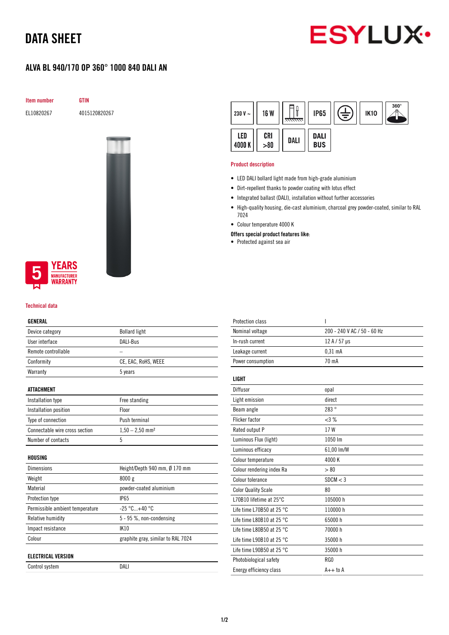# DATA SHEET



## ALVA BL 940/170 OP 360° 1000 840 DALI AN

Item number GTIN

EL10820267 4015120820267





### Technical data

#### GENERAL

| Device category                 | <b>Bollard light</b>               |
|---------------------------------|------------------------------------|
| User interface                  | <b>DALI-Bus</b>                    |
| Remote controllable             |                                    |
| Conformity                      | CE, EAC, RoHS, WEEE                |
| Warranty                        | 5 years                            |
| ATTACHMENT                      |                                    |
| Installation type               | Free standing                      |
| Installation position           | Floor                              |
| Type of connection              | Push terminal                      |
| Connectable wire cross section  | $1,50 - 2,50$ mm <sup>2</sup>      |
| Number of contacts              | 5                                  |
| HOUSING                         |                                    |
| <b>Dimensions</b>               | Height/Depth 940 mm, Ø 170 mm      |
| Weight                          | 8000 g                             |
| Material                        | powder-coated aluminium            |
| Protection type                 | <b>IP65</b>                        |
| Permissible ambient temperature | $-25 °C+40 °C$                     |
| Relative humidity               | $5 - 95$ %, non-condensing         |
| Impact resistance               | <b>IK10</b>                        |
| Colour                          | graphite gray, similar to RAL 7024 |
| <b>ELECTRICAL VERSION</b>       |                                    |
| Control system                  | DALI                               |

| 230 V $\sim$ | <b>16 W</b> | <del>mm.</del> | <b>IP65</b>               | 言 | <b>IK10</b> | $360^\circ$ |
|--------------|-------------|----------------|---------------------------|---|-------------|-------------|
| LED<br>4000K | CRI > 80    | DALI           | <b>DALI</b><br><b>BUS</b> |   |             |             |

#### Product description

- LED DALI bollard light made from high-grade aluminium
- Dirt-repellent thanks to powder coating with lotus effect
- Integrated ballast (DALI), installation without further accessories
- High-quality housing, die-cast aluminium, charcoal grey powder-coated, similar to RAL 7024
- Colour temperature 4000 K
- Offers special product features like:
- Protected against sea air

| 200 - 240 V AC / 50 - 60 Hz<br>Nominal voltage<br>In-rush current<br>12 A / 57 µs<br>Leakage current<br>$0.31$ mA<br>70 mA<br>Power consumption<br><b>LIGHT</b><br>Diffusor<br>opal<br>direct<br>Light emission<br>283°<br>Beam angle<br><b>Flicker factor</b><br><3%<br>17W<br>Rated output P<br>1050 lm<br>Luminous Flux (light)<br>Luminous efficacy<br>61,00 lm/W<br>4000K<br>Colour temperature | <b>Protection class</b>   | ı    |
|------------------------------------------------------------------------------------------------------------------------------------------------------------------------------------------------------------------------------------------------------------------------------------------------------------------------------------------------------------------------------------------------------|---------------------------|------|
|                                                                                                                                                                                                                                                                                                                                                                                                      |                           |      |
|                                                                                                                                                                                                                                                                                                                                                                                                      |                           |      |
|                                                                                                                                                                                                                                                                                                                                                                                                      |                           |      |
|                                                                                                                                                                                                                                                                                                                                                                                                      |                           |      |
|                                                                                                                                                                                                                                                                                                                                                                                                      |                           |      |
|                                                                                                                                                                                                                                                                                                                                                                                                      |                           |      |
|                                                                                                                                                                                                                                                                                                                                                                                                      |                           |      |
|                                                                                                                                                                                                                                                                                                                                                                                                      |                           |      |
|                                                                                                                                                                                                                                                                                                                                                                                                      |                           |      |
|                                                                                                                                                                                                                                                                                                                                                                                                      |                           |      |
|                                                                                                                                                                                                                                                                                                                                                                                                      |                           |      |
|                                                                                                                                                                                                                                                                                                                                                                                                      |                           |      |
|                                                                                                                                                                                                                                                                                                                                                                                                      |                           |      |
|                                                                                                                                                                                                                                                                                                                                                                                                      | Colour rendering index Ra | > 80 |
| Colour tolerance<br>SDCM < 3                                                                                                                                                                                                                                                                                                                                                                         |                           |      |
| <b>Color Quality Scale</b><br>80                                                                                                                                                                                                                                                                                                                                                                     |                           |      |
| L70B10 lifetime at 25°C<br>105000 h                                                                                                                                                                                                                                                                                                                                                                  |                           |      |
| Life time L70B50 at 25 $^{\circ}$ C<br>110000h                                                                                                                                                                                                                                                                                                                                                       |                           |      |
| 65000h<br>Life time L80B10 at 25 $^{\circ}$ C                                                                                                                                                                                                                                                                                                                                                        |                           |      |
| Life time L80B50 at 25 $^{\circ}$ C<br>70000 h                                                                                                                                                                                                                                                                                                                                                       |                           |      |
| Life time L90B10 at 25 $^{\circ}$ C<br>35000h                                                                                                                                                                                                                                                                                                                                                        |                           |      |
| Life time L90B50 at 25 °C<br>35000 h                                                                                                                                                                                                                                                                                                                                                                 |                           |      |
| RG0<br>Photobiological safety                                                                                                                                                                                                                                                                                                                                                                        |                           |      |
| $A++$ to $A$<br>Energy efficiency class                                                                                                                                                                                                                                                                                                                                                              |                           |      |